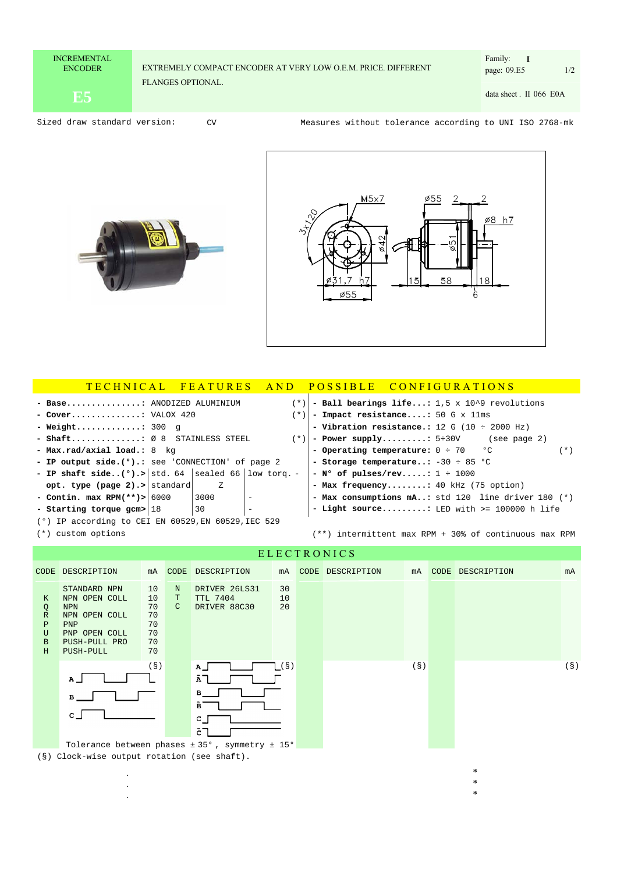## EXTREMELY COMPACT ENCODER AT VERY LOW O.E.M. PRICE. DIFFERENT FLANGES OPTIONAL.

CV

page: 09.E5 1/2 Family: **I**

**E5** data sheet . II 066 data sheet . II 066 E0A

Sized draw standard version: CV COM Measures without tolerance according to UNI ISO 2768-mk



. .



\* \*

| TECHNICAL FEATURES                                           |                                                    |      | AND                      |  | <b>POSSIBLE</b>                                       | CONFIGURATIONS |  |  |     |  |
|--------------------------------------------------------------|----------------------------------------------------|------|--------------------------|--|-------------------------------------------------------|----------------|--|--|-----|--|
| - Base: ANODIZED ALUMINIUM<br>$(* )$                         |                                                    |      |                          |  | - Ball bearings life: 1,5 x 10^9 revolutions          |                |  |  |     |  |
| $($ * $)$<br>- Cover: VALOX $420$                            |                                                    |      |                          |  | - Impact resistance: 50 G x 11ms                      |                |  |  |     |  |
| - Weight: 300 q                                              |                                                    |      |                          |  | - Vibration resistance.: 12 G (10 $\div$ 2000 Hz)     |                |  |  |     |  |
|                                                              | - Shaft: Ø 8 STAINLESS STEEL<br>(*)                |      |                          |  | - Power supply: $5 \div 30V$ (see page 2)             |                |  |  |     |  |
| - $Max.read/axial load.: 8 kq$                               |                                                    |      |                          |  | - Operating temperature: $0 \div 70$ °C               |                |  |  | (*) |  |
|                                                              | - IP output side. (°).: see 'CONNECTION' of page 2 |      |                          |  | - Storage temperature: $-30 \div 85$ °C               |                |  |  |     |  |
| - IP shaft side( $\degree$ ).> std. 64 sealed 66 low torq. - |                                                    |      |                          |  | - $N^{\circ}$ of pulses/rev: $1 \div 1000$            |                |  |  |     |  |
| opt. type (page 2).> standard                                |                                                    | Z    |                          |  | - Max frequency: 40 kHz (75 option)                   |                |  |  |     |  |
| - Contin. max RPM $(**) >  6000$                             |                                                    | 3000 | $\equiv$                 |  | - Max consumptions mA: std 120 line driver 180 (*)    |                |  |  |     |  |
| - Starting torque gcm> 18                                    |                                                    | 30   | $\overline{\phantom{m}}$ |  | - Light source: LED with $>= 100000$ h life           |                |  |  |     |  |
| $(°)$ IP according to CEI EN 60529, EN 60529, IEC 529        |                                                    |      |                          |  |                                                       |                |  |  |     |  |
| (*) custom options                                           |                                                    |      |                          |  | (**) intermittent max RPM + 30% of continuous max RPM |                |  |  |     |  |

## E L E C T R O N I C S